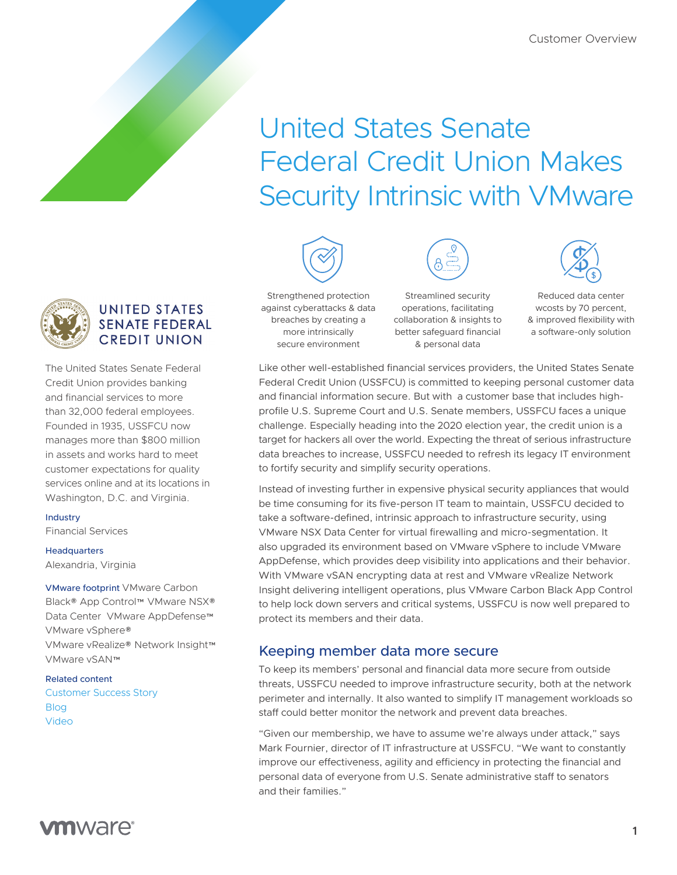# United States Senate Federal Credit Union Makes Security Intrinsic with VMware



## **UNITED STATES SENATE FEDERAL CREDIT UNION**

The United States Senate Federal Credit Union provides banking and financial services to more than 32,000 federal employees. Founded in 1935, USSFCU now manages more than \$800 million in assets and works hard to meet customer expectations for quality services online and at its locations in Washington, D.C. and Virginia.

#### Industry

Financial Services

#### **Headquarters**

Alexandria, Virginia

VMware footprint VMware Carbon Black® App Control™ VMware NSX® Data Center VMware AppDefense™ VMware vSphere® VMware vRealize® Network Insight™ VMware vSAN™

#### Related content [Customer Success Story](https://www.vmware.com/content/dam/digitalmarketing/vmware/en/pdf/customers/ussfcu-solution-case-study-en.pdf)

[Blog](https://blogs.vmware.com/virtualblocks/2019/02/25/vsan-robo/)  [Video](https://www.youtube.com/watch?v=r05JhrWjNwk)



Strengthened protection against cyberattacks & data breaches by creating a more intrinsically secure environment

Streamlined security operations, facilitating collaboration & insights to better safeguard financial & personal data



Reduced data center wcosts by 70 percent, & improved flexibility with a software-only solution

Like other well-established financial services providers, the United States Senate Federal Credit Union (USSFCU) is committed to keeping personal customer data and financial information secure. But with a customer base that includes highprofile U.S. Supreme Court and U.S. Senate members, USSFCU faces a unique challenge. Especially heading into the 2020 election year, the credit union is a target for hackers all over the world. Expecting the threat of serious infrastructure data breaches to increase, USSFCU needed to refresh its legacy IT environment to fortify security and simplify security operations.

Instead of investing further in expensive physical security appliances that would be time consuming for its five-person IT team to maintain, USSFCU decided to take a software-defined, intrinsic approach to infrastructure security, using VMware NSX Data Center for virtual firewalling and micro-segmentation. It also upgraded its environment based on VMware vSphere to include VMware AppDefense, which provides deep visibility into applications and their behavior. With VMware vSAN encrypting data at rest and VMware vRealize Network Insight delivering intelligent operations, plus VMware Carbon Black App Control to help lock down servers and critical systems, USSFCU is now well prepared to protect its members and their data.

# Keeping member data more secure

To keep its members' personal and financial data more secure from outside threats, USSFCU needed to improve infrastructure security, both at the network perimeter and internally. It also wanted to simplify IT management workloads so staff could better monitor the network and prevent data breaches.

"Given our membership, we have to assume we're always under attack," says Mark Fournier, director of IT infrastructure at USSFCU. "We want to constantly improve our effectiveness, agility and efficiency in protecting the financial and personal data of everyone from U.S. Senate administrative staff to senators and their families."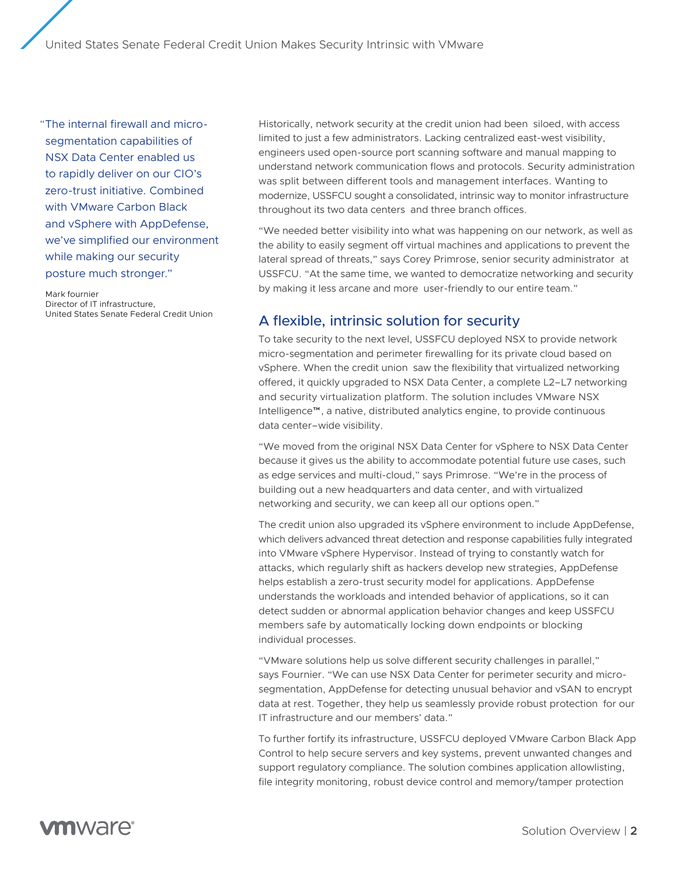United States Senate Federal Credit Union Makes Security Intrinsic with VMware

"The internal firewall and microsegmentation capabilities of NSX Data Center enabled us to rapidly deliver on our CIO's zero-trust initiative. Combined with VMware Carbon Black and vSphere with AppDefense, we've simplified our environment while making our security posture much stronger."

Mark fournier Director of IT infrastructure, United States Senate Federal Credit Union Historically, network security at the credit union had been siloed, with access limited to just a few administrators. Lacking centralized east-west visibility, engineers used open-source port scanning software and manual mapping to understand network communication flows and protocols. Security administration was split between different tools and management interfaces. Wanting to modernize, USSFCU sought a consolidated, intrinsic way to monitor infrastructure throughout its two data centers and three branch offices.

"We needed better visibility into what was happening on our network, as well as the ability to easily segment off virtual machines and applications to prevent the lateral spread of threats," says Corey Primrose, senior security administrator at USSFCU. "At the same time, we wanted to democratize networking and security by making it less arcane and more user-friendly to our entire team."

## A flexible, intrinsic solution for security

To take security to the next level, USSFCU deployed NSX to provide network micro-segmentation and perimeter firewalling for its private cloud based on vSphere. When the credit union saw the flexibility that virtualized networking offered, it quickly upgraded to NSX Data Center, a complete L2–L7 networking and security virtualization platform. The solution includes VMware NSX Intelligence™, a native, distributed analytics engine, to provide continuous data center–wide visibility.

"We moved from the original NSX Data Center for vSphere to NSX Data Center because it gives us the ability to accommodate potential future use cases, such as edge services and multi-cloud," says Primrose. "We're in the process of building out a new headquarters and data center, and with virtualized networking and security, we can keep all our options open."

The credit union also upgraded its vSphere environment to include AppDefense, which delivers advanced threat detection and response capabilities fully integrated into VMware vSphere Hypervisor. Instead of trying to constantly watch for attacks, which regularly shift as hackers develop new strategies, AppDefense helps establish a zero-trust security model for applications. AppDefense understands the workloads and intended behavior of applications, so it can detect sudden or abnormal application behavior changes and keep USSFCU members safe by automatically locking down endpoints or blocking individual processes.

"VMware solutions help us solve different security challenges in parallel," says Fournier. "We can use NSX Data Center for perimeter security and microsegmentation, AppDefense for detecting unusual behavior and vSAN to encrypt data at rest. Together, they help us seamlessly provide robust protection for our IT infrastructure and our members' data."

To further fortify its infrastructure, USSFCU deployed VMware Carbon Black App Control to help secure servers and key systems, prevent unwanted changes and support regulatory compliance. The solution combines application allowlisting, file integrity monitoring, robust device control and memory/tamper protection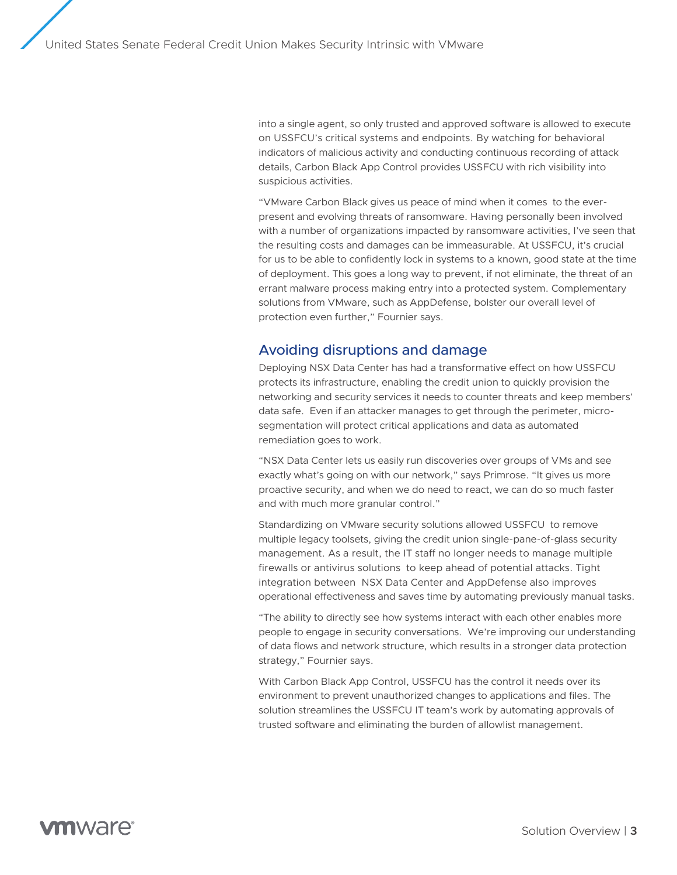into a single agent, so only trusted and approved software is allowed to execute on USSFCU's critical systems and endpoints. By watching for behavioral indicators of malicious activity and conducting continuous recording of attack details, Carbon Black App Control provides USSFCU with rich visibility into suspicious activities.

"VMware Carbon Black gives us peace of mind when it comes to the everpresent and evolving threats of ransomware. Having personally been involved with a number of organizations impacted by ransomware activities, I've seen that the resulting costs and damages can be immeasurable. At USSFCU, it's crucial for us to be able to confidently lock in systems to a known, good state at the time of deployment. This goes a long way to prevent, if not eliminate, the threat of an errant malware process making entry into a protected system. Complementary solutions from VMware, such as AppDefense, bolster our overall level of protection even further," Fournier says.

## Avoiding disruptions and damage

Deploying NSX Data Center has had a transformative effect on how USSFCU protects its infrastructure, enabling the credit union to quickly provision the networking and security services it needs to counter threats and keep members' data safe. Even if an attacker manages to get through the perimeter, microsegmentation will protect critical applications and data as automated remediation goes to work.

"NSX Data Center lets us easily run discoveries over groups of VMs and see exactly what's going on with our network," says Primrose. "It gives us more proactive security, and when we do need to react, we can do so much faster and with much more granular control."

Standardizing on VMware security solutions allowed USSFCU to remove multiple legacy toolsets, giving the credit union single-pane-of-glass security management. As a result, the IT staff no longer needs to manage multiple firewalls or antivirus solutions to keep ahead of potential attacks. Tight integration between NSX Data Center and AppDefense also improves operational effectiveness and saves time by automating previously manual tasks.

"The ability to directly see how systems interact with each other enables more people to engage in security conversations. We're improving our understanding of data flows and network structure, which results in a stronger data protection strategy," Fournier says.

With Carbon Black App Control, USSFCU has the control it needs over its environment to prevent unauthorized changes to applications and files. The solution streamlines the USSFCU IT team's work by automating approvals of trusted software and eliminating the burden of allowlist management.